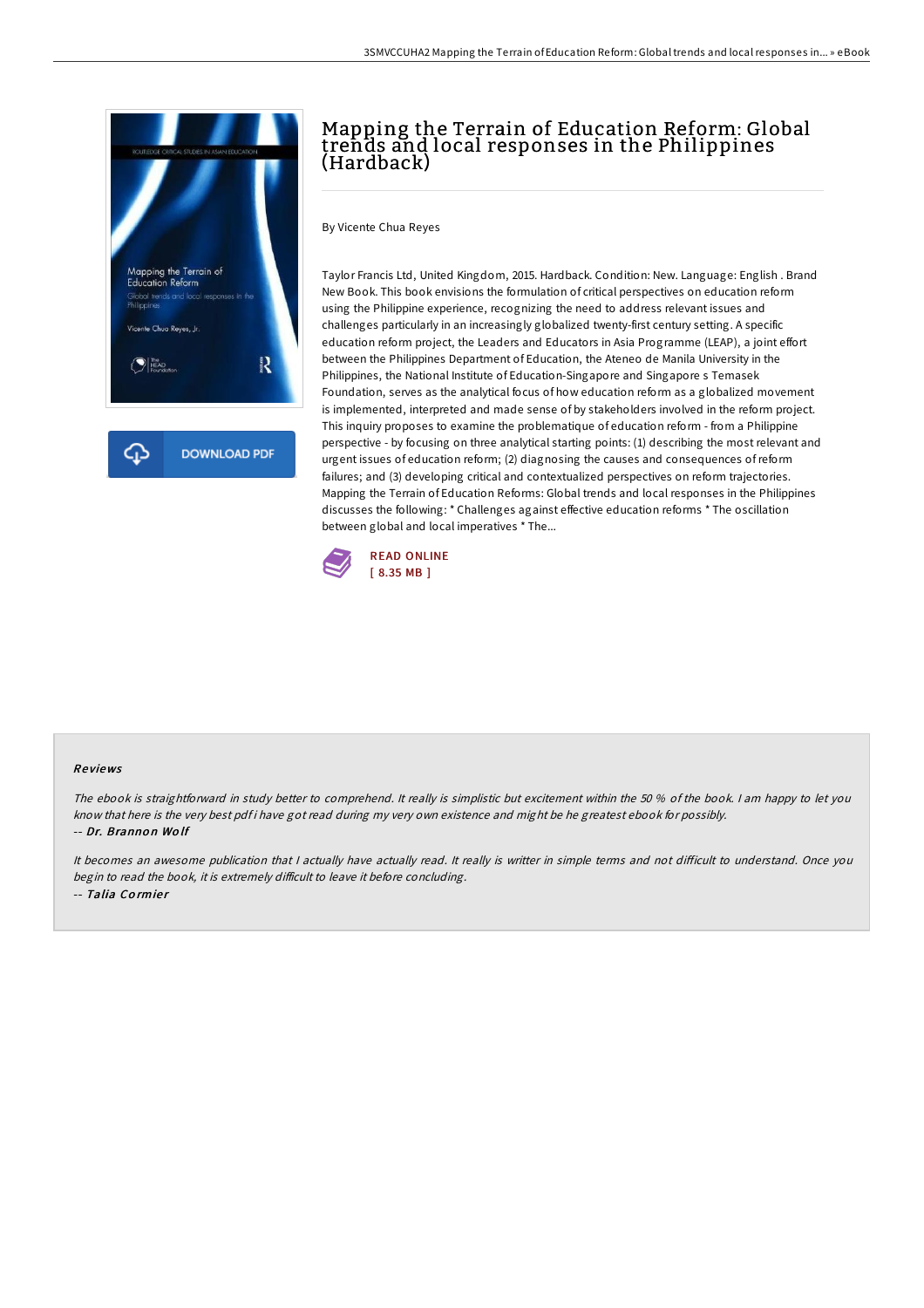

# Mapping the Terrain of Education Reform: Global trends and local responses in the Philippines (Hardback)

By Vicente Chua Reyes

Taylor Francis Ltd, United Kingdom, 2015. Hardback. Condition: New. Language: English . Brand New Book. This book envisions the formulation of critical perspectives on education reform using the Philippine experience, recognizing the need to address relevant issues and challenges particularly in an increasingly globalized twenty-first century setting. A specific education reform project, the Leaders and Educators in Asia Programme (LEAP), a joint effort between the Philippines Department of Education, the Ateneo de Manila University in the Philippines, the National Institute of Education-Singapore and Singapore s Temasek Foundation, serves as the analytical focus of how education reform as a globalized movement is implemented, interpreted and made sense of by stakeholders involved in the reform project. This inquiry proposes to examine the problematique of education reform - from a Philippine perspective - by focusing on three analytical starting points: (1) describing the most relevant and urgent issues of education reform; (2) diagnosing the causes and consequences ofreform failures; and (3) developing critical and contextualized perspectives on reform trajectories. Mapping the Terrain of Education Reforms: Global trends and local responses in the Philippines discusses the following: \* Challenges against effective education reforms \* The oscillation between global and local imperatives \* The...



### Re views

The ebook is straightforward in study better to comprehend. It really is simplistic but excitement within the 50 % of the book. <sup>I</sup> am happy to let you know that here is the very best pdf i have got read during my very own existence and might be he greatest ebook for possibly. -- Dr. Branno <sup>n</sup> Wo lf

It becomes an awesome publication that I actually have actually read. It really is writter in simple terms and not difficult to understand. Once you begin to read the book, it is extremely difficult to leave it before concluding. -- Talia Cormier